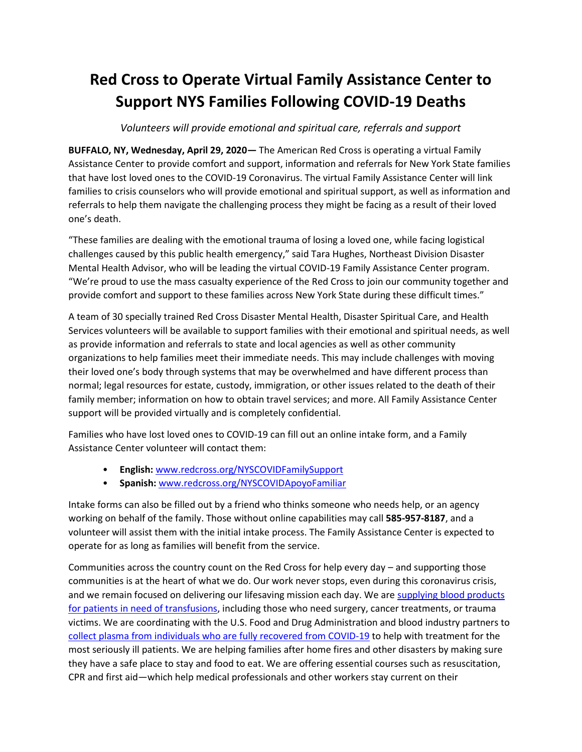## **Red Cross to Operate Virtual Family Assistance Center to Support NYS Families Following COVID-19 Deaths**

*Volunteers will provide emotional and spiritual care, referrals and support*

**BUFFALO, NY, Wednesday, April 29, 2020—** The American Red Cross is operating a virtual Family Assistance Center to provide comfort and support, information and referrals for New York State families that have lost loved ones to the COVID-19 Coronavirus. The virtual Family Assistance Center will link families to crisis counselors who will provide emotional and spiritual support, as well as information and referrals to help them navigate the challenging process they might be facing as a result of their loved one's death.

"These families are dealing with the emotional trauma of losing a loved one, while facing logistical challenges caused by this public health emergency," said Tara Hughes, Northeast Division Disaster Mental Health Advisor, who will be leading the virtual COVID-19 Family Assistance Center program. "We're proud to use the mass casualty experience of the Red Cross to join our community together and provide comfort and support to these families across New York State during these difficult times."

A team of 30 specially trained Red Cross Disaster Mental Health, Disaster Spiritual Care, and Health Services volunteers will be available to support families with their emotional and spiritual needs, as well as provide information and referrals to state and local agencies as well as other community organizations to help families meet their immediate needs. This may include challenges with moving their loved one's body through systems that may be overwhelmed and have different process than normal; legal resources for estate, custody, immigration, or other issues related to the death of their family member; information on how to obtain travel services; and more. All Family Assistance Center support will be provided virtually and is completely confidential.

Families who have lost loved ones to COVID-19 can fill out an online intake form, and a Family Assistance Center volunteer will contact them:

- **English:** [www.redcross.org/NYSCOVIDFamilySupport](http://www.redcross.org/NYSCOVIDFamilySupport)
- **Spanish:** [www.redcross.org/NYSCOVIDApoyoFamiliar](http://www.redcross.org/NYSCOVIDApoyoFamiliar)

Intake forms can also be filled out by a friend who thinks someone who needs help, or an agency working on behalf of the family. Those without online capabilities may call **585-957-8187**, and a volunteer will assist them with the initial intake process. The Family Assistance Center is expected to operate for as long as families will benefit from the service.

Communities across the country count on the Red Cross for help every day – and supporting those communities is at the heart of what we do. Our work never stops, even during this coronavirus crisis, and we remain focused on delivering our lifesaving mission each day. We are supplying blood products [for patients in need of transfusions,](https://www.redcrossblood.org/) including those who need surgery, cancer treatments, or trauma victims. We are coordinating with the U.S. Food and Drug Administration and blood industry partners to [collect plasma from individuals who are fully recovered from COVID-19](https://www.redcrossblood.org/donate-blood/dlp/plasma-donations-from-recovered-covid-19-patients.html) to help with treatment for the most seriously ill patients. We are helping families after home fires and other disasters by making sure they have a safe place to stay and food to eat. We are offering essential courses such as resuscitation, CPR and first aid—which help medical professionals and other workers stay current on their